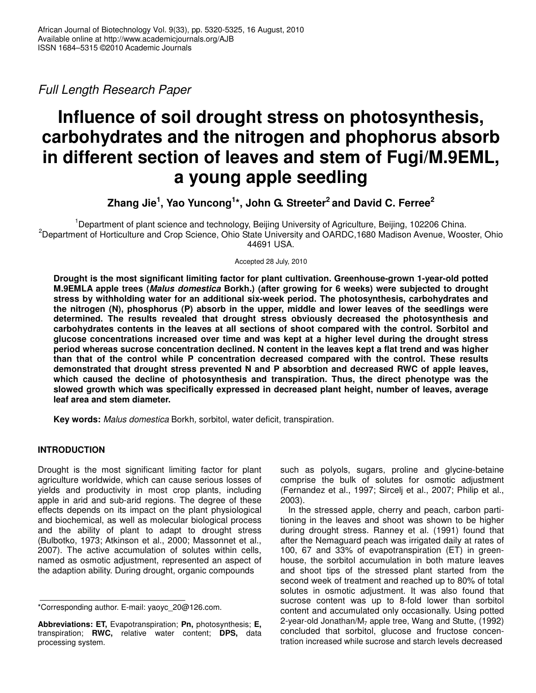*Full Length Research Paper*

# **Influence of soil drought stress on photosynthesis, carbohydrates and the nitrogen and phophorus absorb in different section of leaves and stem of Fugi/M.9EML, a young apple seedling**

**Zhang Jie 1 , Yao Yuncong 1 \*, John G. Streeter 2 and David C. Ferree 2**

<sup>1</sup>Department of plant science and technology, Beijing University of Agriculture, Beijing, 102206 China. <sup>2</sup>Department of Horticulture and Crop Science, Ohio State University and OARDC,1680 Madison Avenue, Wooster, Ohio 44691 USA.

Accepted 28 July, 2010

**Drought is the most significant limiting factor for plant cultivation. Greenhouse-grown 1-year-old potted M.9EMLA apple trees (***Malus domestica* **Borkh.) (after growing for 6 weeks) were subjected to drought stress by withholding water for an additional six-week period. The photosynthesis, carbohydrates and the nitrogen (N), phosphorus (P) absorb in the upper, middle and lower leaves of the seedlings were determined. The results revealed that drought stress obviously decreased the photosynthesis and carbohydrates contents in the leaves at all sections of shoot compared with the control. Sorbitol and glucose concentrations increased over time and was kept at a higher level during the drought stress period whereas sucrose concentration declined. N content in the leaves kept a flat trend and was higher than that of the control while P concentration decreased compared with the control. These results demonstrated that drought stress prevented N and P absorbtion and decreased RWC of apple leaves, which caused the decline of photosynthesis and transpiration. Thus, the direct phenotype was the slowed growth which was specifically expressed in decreased plant height, number of leaves, average leaf area and stem diameter.**

**Key words:** *Malus domestica* Borkh*,* sorbitol, water deficit, transpiration.

# **INTRODUCTION**

Drought is the most significant limiting factor for plant agriculture worldwide, which can cause serious losses of yields and productivity in most crop plants, including apple in arid and sub-arid regions. The degree of these effects depends on its impact on the plant physiological and biochemical, as well as molecular biological process and the ability of plant to adapt to drought stress (Bulbotko, 1973; Atkinson et al., 2000; Massonnet et al., 2007). The active accumulation of solutes within cells, named as osmotic adjustment, represented an aspect of the adaption ability. During drought, organic compounds

such as polyols, sugars, proline and glycine-betaine comprise the bulk of solutes for osmotic adjustment (Fernandez et al., 1997; Sircelj et al., 2007; Philip et al., 2003).

In the stressed apple, cherry and peach, carbon partitioning in the leaves and shoot was shown to be higher during drought stress. Ranney et al. (1991) found that after the Nemaguard peach was irrigated daily at rates of 100, 67 and 33% of evapotranspiration (ET) in greenhouse, the sorbitol accumulation in both mature leaves and shoot tips of the stressed plant started from the second week of treatment and reached up to 80% of total solutes in osmotic adjustment. It was also found that sucrose content was up to 8-fold lower than sorbitol content and accumulated only occasionally. Using potted 2-year-old Jonathan/ $M<sub>7</sub>$  apple tree, Wang and Stutte, (1992) concluded that sorbitol, glucose and fructose concentration increased while sucrose and starch levels decreased

<sup>\*</sup>Corresponding author. E-mail: yaoyc\_20@126.com.

**Abbreviations: ET,** Evapotranspiration; **Pn,** photosynthesis; **E,** transpiration; **RWC,** relative water content; **DPS,** data processing system.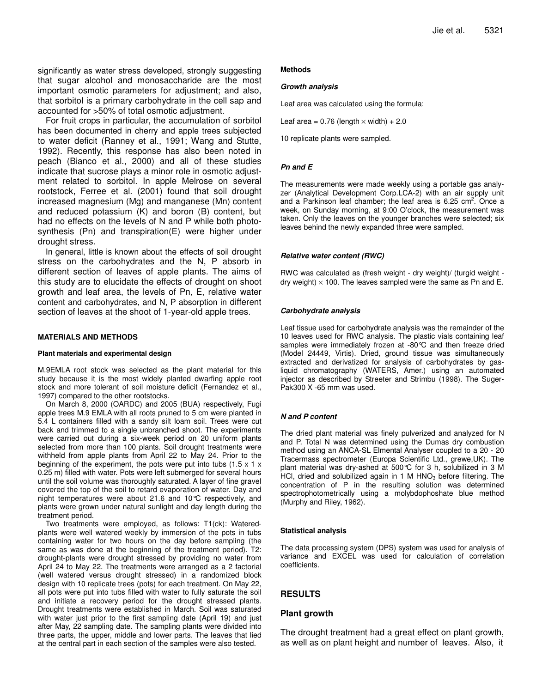significantly as water stress developed, strongly suggesting that sugar alcohol and monosaccharide are the most important osmotic parameters for adjustment; and also, that sorbitol is a primary carbohydrate in the cell sap and accounted for >50% of total osmotic adjustment.

For fruit crops in particular, the accumulation of sorbitol has been documented in cherry and apple trees subjected to water deficit (Ranney et al., 1991; Wang and Stutte, 1992). Recently, this response has also been noted in peach (Bianco et al., 2000) and all of these studies indicate that sucrose plays a minor role in osmotic adjustment related to sorbitol. In apple Melrose on several rootstock, Ferree et al. (2001) found that soil drought increased magnesium (Mg) and manganese (Mn) content and reduced potassium (K) and boron (B) content, but had no effects on the levels of N and P while both photosynthesis (Pn) and transpiration(E) were higher under drought stress.

In general, little is known about the effects of soil drought stress on the carbohydrates and the N, P absorb in different section of leaves of apple plants. The aims of this study are to elucidate the effects of drought on shoot growth and leaf area, the levels of Pn, E, relative water content and carbohydrates, and N, P absorption in different section of leaves at the shoot of 1-year-old apple trees.

## **MATERIALS AND METHODS**

#### **Plant materials and experimental design**

M.9EMLA root stock was selected as the plant material for this study because it is the most widely planted dwarfing apple root stock and more tolerant of soil moisture deficit (Fernandez et al., 1997) compared to the other rootstocks.

On March 8, 2000 (OARDC) and 2005 (BUA) respectively, Fugi apple trees M.9 EMLA with all roots pruned to 5 cm were planted in 5.4 L containers filled with a sandy silt loam soil. Trees were cut back and trimmed to a single unbranched shoot. The experiments were carried out during a six-week period on 20 uniform plants selected from more than 100 plants. Soil drought treatments were withheld from apple plants from April 22 to May 24. Prior to the beginning of the experiment, the pots were put into tubs  $(1.5 \times 1 \times$ 0.25 m) filled with water. Pots were left submerged for several hours until the soil volume was thoroughly saturated. A layer of fine gravel covered the top of the soil to retard evaporation of water. Day and night temperatures were about 21.6 and 10°C respectively, and plants were grown under natural sunlight and day length during the treatment period.

Two treatments were employed, as follows: T1(ck): Wateredplants were well watered weekly by immersion of the pots in tubs containing water for two hours on the day before sampling (the same as was done at the beginning of the treatment period). T2: drought-plants were drought stressed by providing no water from April 24 to May 22. The treatments were arranged as a 2 factorial (well watered versus drought stressed) in a randomized block design with 10 replicate trees (pots) for each treatment. On May 22, all pots were put into tubs filled with water to fully saturate the soil and initiate a recovery period for the drought stressed plants. Drought treatments were established in March. Soil was saturated with water just prior to the first sampling date (April 19) and just after May, 22 sampling date. The sampling plants were divided into three parts, the upper, middle and lower parts. The leaves that lied at the central part in each section of the samples were also tested.

#### **Methods**

#### *Growth analysis*

Leaf area was calculated using the formula:

Leaf area =  $0.76$  (length  $\times$  width) + 2.0

10 replicate plants were sampled.

## *Pn and E*

The measurements were made weekly using a portable gas analyzer (Analytical Development Corp.LCA-2) with an air supply unit and a Parkinson leaf chamber; the leaf area is 6.25 cm<sup>2</sup>. Once a week, on Sunday morning, at 9:00 O'clock, the measurement was taken. Only the leaves on the younger branches were selected; six leaves behind the newly expanded three were sampled.

#### *Relative water content (RWC)*

RWC was calculated as (fresh weight - dry weight)/ (turgid weight dry weight)  $\times$  100. The leaves sampled were the same as Pn and E.

## *Carbohydrate analysis*

Leaf tissue used for carbohydrate analysis was the remainder of the 10 leaves used for RWC analysis. The plastic vials containing leaf samples were immediately frozen at -80°C and then freeze dried (Model 24449, Virtis). Dried, ground tissue was simultaneously extracted and derivatized for analysis of carbohydrates by gasliquid chromatography (WATERS, Amer.) using an automated injector as described by Streeter and Strimbu (1998). The Suger-Pak300 X -65 mm was used.

## *N and P content*

The dried plant material was finely pulverized and analyzed for N and P. Total N was determined using the Dumas dry combustion method using an ANCA-SL Elmental Analyser coupled to a 20 - 20 Tracermass spectrometer (Europa Scientific Ltd., grewe,UK). The plant material was dry-ashed at 500°C for 3 h, solubilized in 3 M HCl, dried and solubilized again in 1 M HNO<sub>3</sub> before filtering. The concentration of P in the resulting solution was determined spectrophotometrically using a molybdophoshate blue method (Murphy and Riley, 1962).

#### **Statistical analysis**

The data processing system (DPS) system was used for analysis of variance and EXCEL was used for calculation of correlation coefficients.

## **RESULTS**

### **Plant growth**

The drought treatment had a great effect on plant growth, as well as on plant height and number of leaves. Also, it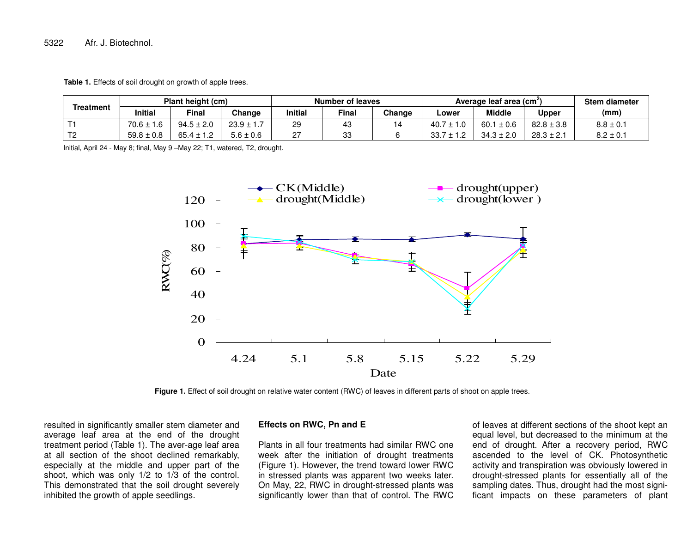5322Afr. J. Biotechnol.

**Table 1.** Effects of soil drought on growth of apple trees.

| Treatment         | Plant height (cm) |                |                | <b>Number of leaves</b> |       |        | Average leaf area (cm <sup>-</sup> ) |                |                | <b>Stem diameter</b> |
|-------------------|-------------------|----------------|----------------|-------------------------|-------|--------|--------------------------------------|----------------|----------------|----------------------|
|                   | <b>Initial</b>    | Final          | Change         | Initial                 | Final | Change | ∟ower                                | <b>Middle</b>  | Upper          | (mm)                 |
|                   | $70.6 \pm$<br>1.6 | $94.5 \pm 2.0$ | $23.9 \pm 1.7$ | 29                      | ب+    |        | 40.7                                 | 60.1<br>±0.6   | $82.8 \pm 3.8$ | $8.8 \pm 0.1$        |
| $T^{\sim}$<br>. . | $59.8 \pm 0.8$    | $65.4 \pm 1.2$ | $5.6 \pm 0.6$  | n,                      | 33    |        | 33.                                  | $34.3 \pm 2.0$ | $28.3 \pm 2.1$ | $8.2 \pm 0.7$        |

Initial, April 24 - May 8; final, May 9 –May 22; T1, watered, T2, drought.



**Figure 1.** Effect of soil drought on relative water content (RWC) of leaves in different parts of shoot on apple trees.

resulted in significantly smaller stem diameter and average leaf area at the end of the drought treatment period (Table 1). The aver-age leaf area at all section of the shoot declined remarkably, especially at the middle and upper part of the shoot, which was only 1/2 to 1/3 of the control. This demonstrated that the soil drought severely inhibited the growth of apple seedlings.

## **Effects on RWC, Pn and E**

Plants in all four treatments had similar RWC one week after the initiation of drought treatments (Figure 1). However, the trend toward lower RWC in stressed plants was apparent two weeks later. On May, 22, RWC in drought-stressed plants was significantly lower than that of control. The RWC

of leaves at different sections of the shoot kept an equal level, but decreased to the minimum at the end of drought. After <sup>a</sup> recovery period, RWC ascended to the level of CK. Photosynthetic activity and transpiration was obviously lowered in drought-stressed plants for essentially all of the sampling dates. Thus, drought had the most significant impacts on these parameters of plant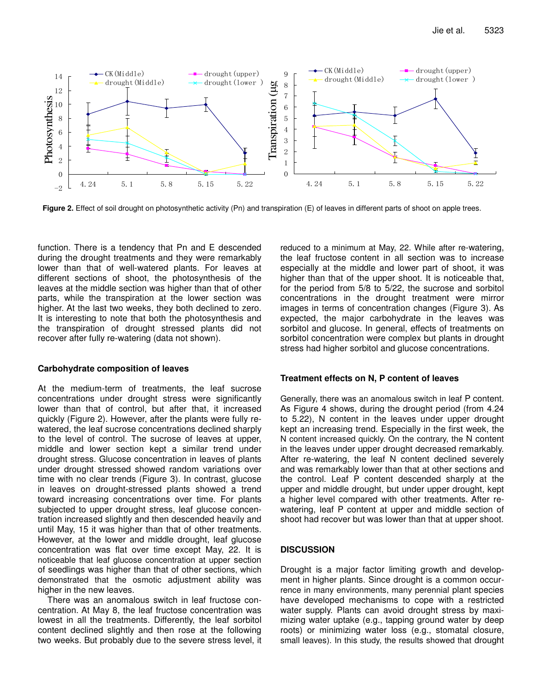

**Figure 2.** Effect of soil drought on photosynthetic activity (Pn) and transpiration (E) of leaves in different parts of shoot on apple trees.

function. There is a tendency that Pn and E descended during the drought treatments and they were remarkably lower than that of well-watered plants. For leaves at different sections of shoot, the photosynthesis of the leaves at the middle section was higher than that of other parts, while the transpiration at the lower section was higher. At the last two weeks, they both declined to zero. It is interesting to note that both the photosynthesis and the transpiration of drought stressed plants did not recover after fully re-watering (data not shown).

## **Carbohydrate composition of leaves**

At the medium-term of treatments, the leaf sucrose concentrations under drought stress were significantly lower than that of control, but after that, it increased quickly (Figure 2). However, after the plants were fully rewatered, the leaf sucrose concentrations declined sharply to the level of control. The sucrose of leaves at upper, middle and lower section kept a similar trend under drought stress. Glucose concentration in leaves of plants under drought stressed showed random variations over time with no clear trends (Figure 3). In contrast, glucose in leaves on drought-stressed plants showed a trend toward increasing concentrations over time. For plants subjected to upper drought stress, leaf glucose concentration increased slightly and then descended heavily and until May, 15 it was higher than that of other treatments. However, at the lower and middle drought, leaf glucose concentration was flat over time except May, 22. It is noticeable that leaf glucose concentration at upper section of seedlings was higher than that of other sections, which demonstrated that the osmotic adjustment ability was higher in the new leaves.

There was an anomalous switch in leaf fructose concentration. At May 8, the leaf fructose concentration was lowest in all the treatments. Differently, the leaf sorbitol content declined slightly and then rose at the following two weeks. But probably due to the severe stress level, it

reduced to a minimum at May, 22. While after re-watering, the leaf fructose content in all section was to increase especially at the middle and lower part of shoot, it was higher than that of the upper shoot. It is noticeable that, for the period from 5/8 to 5/22, the sucrose and sorbitol concentrations in the drought treatment were mirror images in terms of concentration changes (Figure 3). As expected, the major carbohydrate in the leaves was sorbitol and glucose. In general, effects of treatments on sorbitol concentration were complex but plants in drought stress had higher sorbitol and glucose concentrations.

# **Treatment effects on N, P content of leaves**

Generally, there was an anomalous switch in leaf P content. As Figure 4 shows, during the drought period (from 4.24 to 5.22), N content in the leaves under upper drought kept an increasing trend. Especially in the first week, the N content increased quickly. On the contrary, the N content in the leaves under upper drought decreased remarkably. After re-watering, the leaf N content declined severely and was remarkably lower than that at other sections and the control. Leaf P content descended sharply at the upper and middle drought, but under upper drought, kept a higher level compared with other treatments. After rewatering, leaf P content at upper and middle section of shoot had recover but was lower than that at upper shoot.

# **DISCUSSION**

Drought is a major factor limiting growth and development in higher plants. Since drought is a common occurrence in many environments, many perennial plant species have developed mechanisms to cope with a restricted water supply. Plants can avoid drought stress by maximizing water uptake (e.g., tapping ground water by deep roots) or minimizing water loss (e.g., stomatal closure, small leaves). In this study, the results showed that drought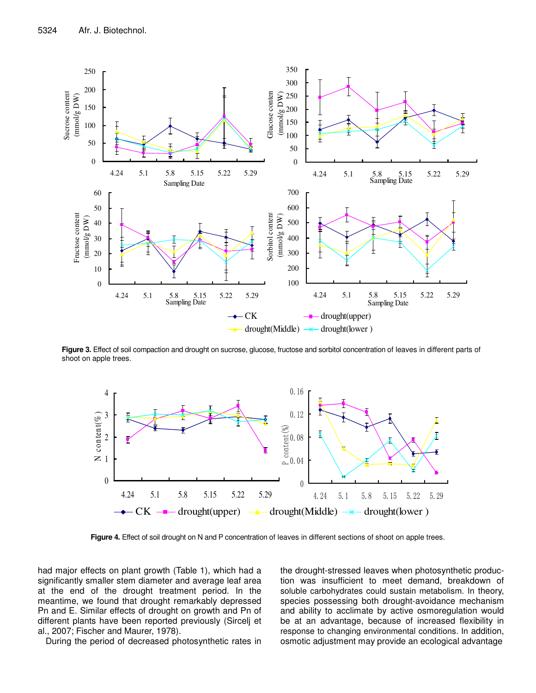

**Figure 3.** Effect of soil compaction and drought on sucrose, glucose, fructose and sorbitol concentration of leaves in different parts of shoot on apple trees.



**Figure 4.** Effect of soil drought on N and P concentration of leaves in different sections of shoot on apple trees.

had major effects on plant growth (Table 1), which had a significantly smaller stem diameter and average leaf area at the end of the drought treatment period. In the meantime, we found that drought remarkably depressed Pn and E. Similar effects of drought on growth and Pn of different plants have been reported previously (Sircelj et al., 2007; Fischer and Maurer, 1978).

During the period of decreased photosynthetic rates in

the drought-stressed leaves when photosynthetic production was insufficient to meet demand, breakdown of soluble carbohydrates could sustain metabolism. In theory, species possessing both drought-avoidance mechanism and ability to acclimate by active osmoregulation would be at an advantage, because of increased flexibility in response to changing environmental conditions. In addition, osmotic adjustment may provide an ecological advantage